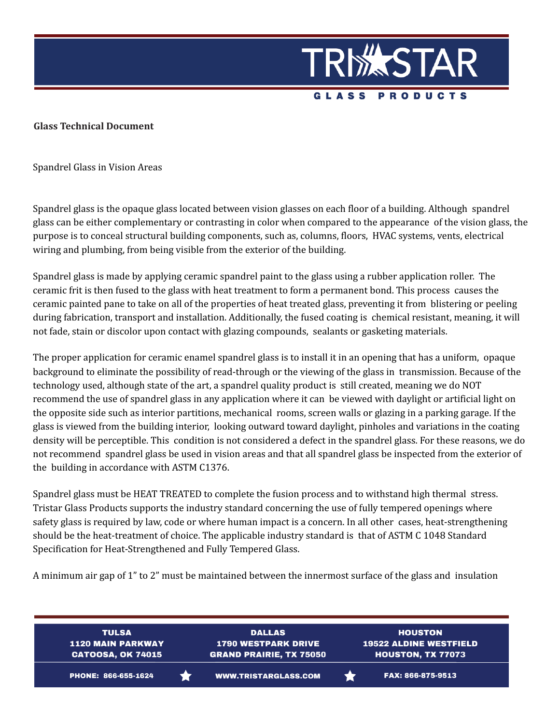

**Glass Technical Document**

Spandrel Glass in Vision Areas

Spandrel glass is the opaque glass located between vision glasses on each floor of a building. Although spandrel glass can be either complementary or contrasting in color when compared to the appearance of the vision glass, the purpose is to conceal structural building components, such as, columns, floors, HVAC systems, vents, electrical wiring and plumbing, from being visible from the exterior of the building.

Spandrel glass is made by applying ceramic spandrel paint to the glass using a rubber application roller. The ceramic frit is then fused to the glass with heat treatment to form a permanent bond. This process causes the ceramic painted pane to take on all of the properties of heat treated glass, preventing it from blistering or peeling during fabrication, transport and installation. Additionally, the fused coating is chemical resistant, meaning, it will not fade, stain or discolor upon contact with glazing compounds, sealants or gasketing materials.

The proper application for ceramic enamel spandrel glass is to install it in an opening that has a uniform, opaque background to eliminate the possibility of read-through or the viewing of the glass in transmission. Because of the technology used, although state of the art, a spandrel quality product is still created, meaning we do NOT recommend the use of spandrel glass in any application where it can be viewed with daylight or artificial light on the opposite side such as interior partitions, mechanical rooms, screen walls or glazing in a parking garage. If the glass is viewed from the building interior, looking outward toward daylight, pinholes and variations in the coating density will be perceptible. This condition is not considered a defect in the spandrel glass. For these reasons, we do not recommend spandrel glass be used in vision areas and that all spandrel glass be inspected from the exterior of the building in accordance with ASTM C1376.

Spandrel glass must be HEAT TREATED to complete the fusion process and to withstand high thermal stress. Tristar Glass Products supports the industry standard concerning the use of fully tempered openings where safety glass is required by law, code or where human impact is a concern. In all other cases, heat-strengthening should be the heat-treatment of choice. The applicable industry standard is that of ASTM C 1048 Standard Specification for Heat-Strengthened and Fully Tempered Glass.

A minimum air gap of 1" to 2" must be maintained between the innermost surface of the glass and insulation